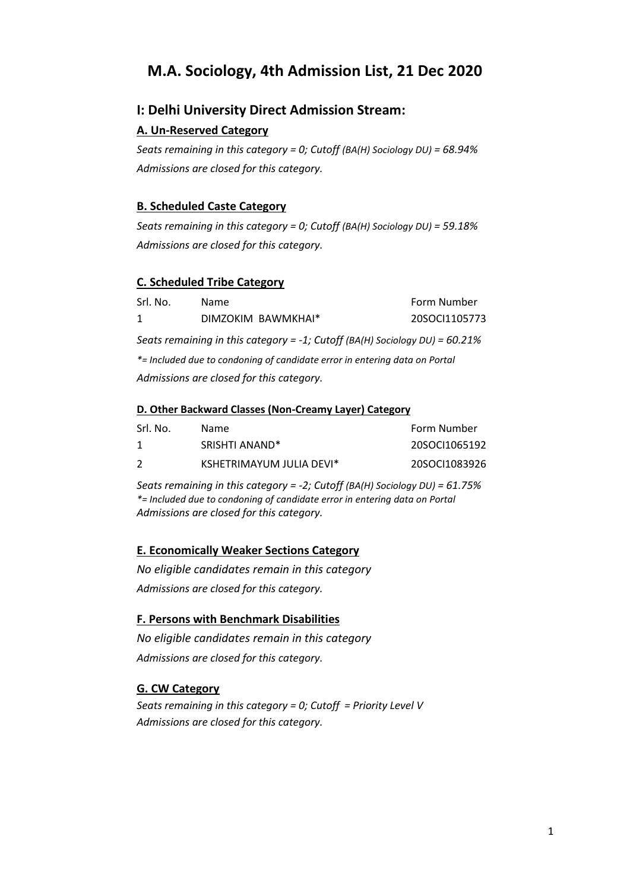# **M.A. Sociology, 4th Admission List, 21 Dec 2020**

# **I: Delhi University Direct Admission Stream:**

## **A. Un-Reserved Category**

*Seats remaining in this category = 0; Cutoff (BA(H) Sociology DU) = 68.94% Admissions are closed for this category.*

## **B. Scheduled Caste Category**

*Seats remaining in this category = 0; Cutoff (BA(H) Sociology DU) = 59.18% Admissions are closed for this category.*

## **C. Scheduled Tribe Category**

| Srl. No.                                                                       | <b>Name</b>                              | Form Number   |  |
|--------------------------------------------------------------------------------|------------------------------------------|---------------|--|
| 1                                                                              | DIMZOKIM BAWMKHAI*                       | 20SOCI1105773 |  |
| Seats remaining in this category = -1; Cutoff (BA(H) Sociology DU) = $60.21\%$ |                                          |               |  |
| *= Included due to condoning of candidate error in entering data on Portal     |                                          |               |  |
|                                                                                | Admissions are closed for this category. |               |  |

#### **D. Other Backward Classes (Non-Creamy Layer) Category**

| -Srl. No. | Name.                      | Form Number   |
|-----------|----------------------------|---------------|
|           | SRISHTI ANAND <sup>*</sup> | 20SOCI1065192 |
|           | KSHETRIMAYUM JULIA DEVI*   | 20SOCI1083926 |

*Seats remaining in this category = -2; Cutoff (BA(H) Sociology DU) = 61.75% \*= Included due to condoning of candidate error in entering data on Portal Admissions are closed for this category.*

# **E. Economically Weaker Sections Category**

*No eligible candidates remain in this category Admissions are closed for this category.*

#### **F. Persons with Benchmark Disabilities**

*No eligible candidates remain in this category Admissions are closed for this category.*

# **G. CW Category**

*Seats remaining in this category = 0; Cutoff = Priority Level V Admissions are closed for this category.*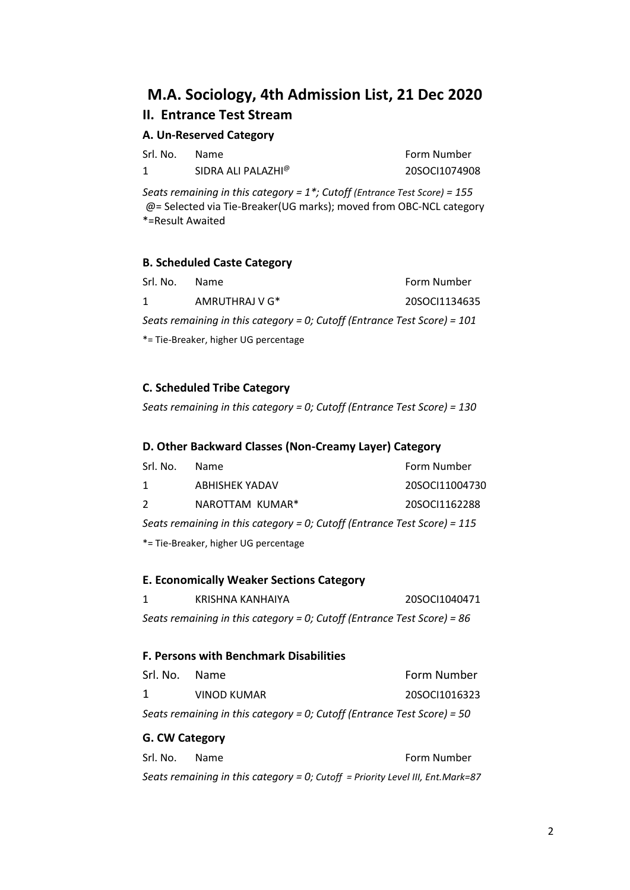# **M.A. Sociology, 4th Admission List, 21 Dec 2020 II. Entrance Test Stream**

## **A. Un-Reserved Category**

| Srl. No. | Name                           | <b>Form Number</b> |
|----------|--------------------------------|--------------------|
|          | SIDRA ALI PALAZHI <sup>@</sup> | 20SOCI1074908      |

*Seats remaining in this category = 1\*; Cutoff (Entrance Test Score) = 155* @= Selected via Tie-Breaker(UG marks); moved from OBC-NCL category \*=Result Awaited

#### **B. Scheduled Caste Category**

| Srl. No.                                                                   | <b>Name</b>                          | Form Number   |
|----------------------------------------------------------------------------|--------------------------------------|---------------|
| $\mathbf{1}$                                                               | AMRUTHRAJ V G*                       | 20SOCI1134635 |
| Seats remaining in this category = 0; Cutoff (Entrance Test Score) = $101$ |                                      |               |
|                                                                            | *= Tie-Breaker, higher UG percentage |               |

#### **C. Scheduled Tribe Category**

*Seats remaining in this category = 0; Cutoff (Entrance Test Score) = 130*

#### **D. Other Backward Classes (Non-Creamy Layer) Category**

| Srl. No.                                                                   | <b>Name</b>           | Form Number    |
|----------------------------------------------------------------------------|-----------------------|----------------|
| 1                                                                          | <b>ABHISHEK YADAV</b> | 20SOCI11004730 |
| $\mathcal{L}$                                                              | NAROTTAM KUMAR*       | 20SOCI1162288  |
| Seats remaining in this category = 0; Cutoff (Entrance Test Score) = $115$ |                       |                |
| *= Tie-Breaker, higher UG percentage                                       |                       |                |

#### **E. Economically Weaker Sections Category**

1 KRISHNA KANHAIYA 20SOCI1040471 *Seats remaining in this category = 0; Cutoff (Entrance Test Score) = 86*

#### **F. Persons with Benchmark Disabilities**

| Srl. No. Name                                                           |             | Form Number   |  |
|-------------------------------------------------------------------------|-------------|---------------|--|
| 1                                                                       | VINOD KUMAR | 20SOCI1016323 |  |
| Seats remaining in this category = 0; Cutoff (Entrance Test Score) = 50 |             |               |  |

#### **G. CW Category**

| Srl. No. | <b>Name</b> |                                                                                | Form Number |
|----------|-------------|--------------------------------------------------------------------------------|-------------|
|          |             | Seats remaining in this category = 0; Cutoff = Priority Level III, Ent.Mark=87 |             |